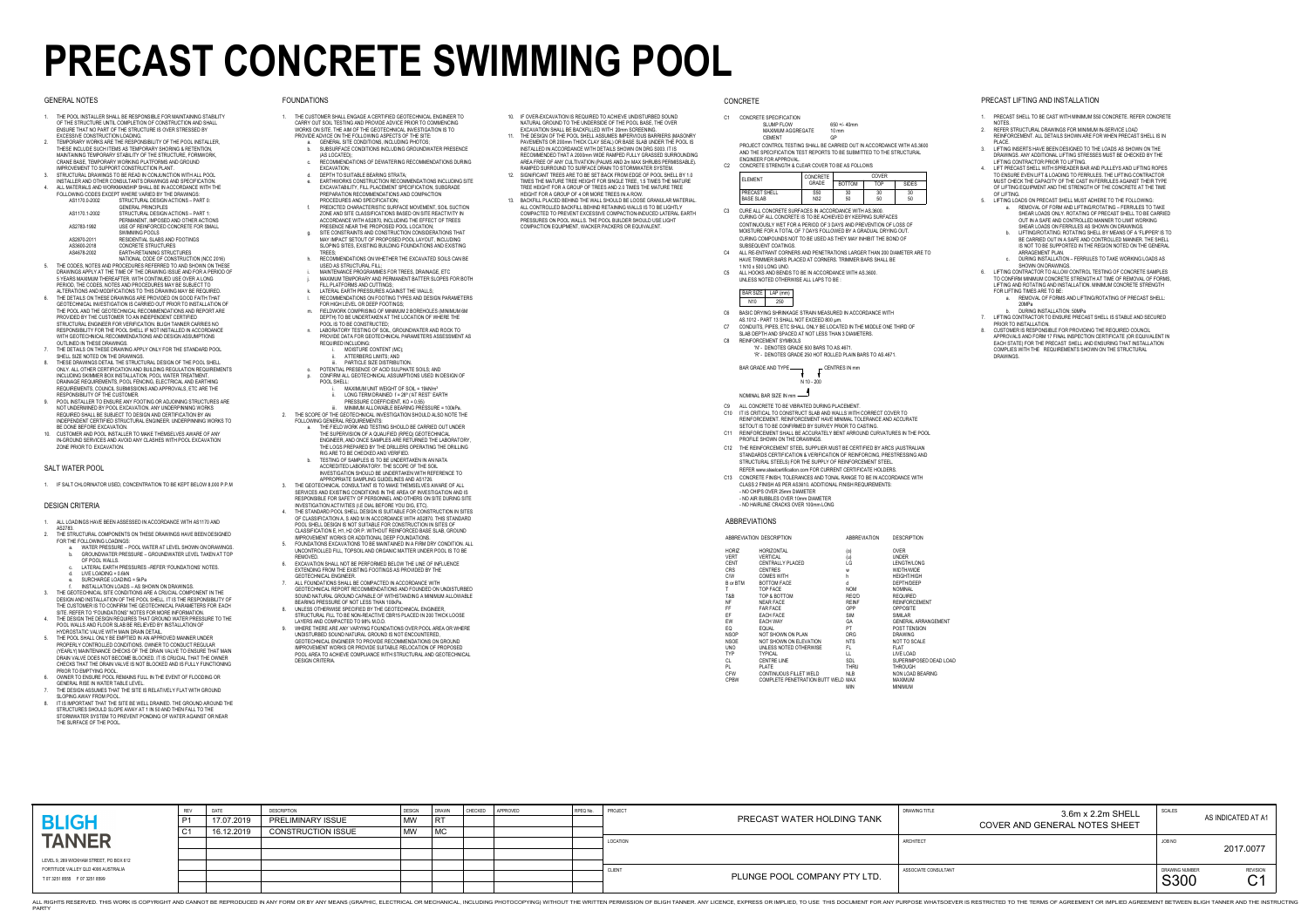|                                                                         | <b>REV</b>     | <b>DATE</b> | <b>DESCRIPTION</b>        | <b>DESIGN</b> | DRAWN     | <b>CHECKED</b> | APPROVED | RPEQ No |
|-------------------------------------------------------------------------|----------------|-------------|---------------------------|---------------|-----------|----------------|----------|---------|
| <b>BLIGH</b>                                                            | P <sub>1</sub> | 17.07.2019  | <b>PRELIMINARY ISSUE</b>  | <b>MW</b>     | <b>RT</b> |                |          |         |
|                                                                         | C <sub>1</sub> | 16.12.2019  | <b>CONSTRUCTION ISSUE</b> | <b>MW</b>     | <b>MC</b> |                |          |         |
| <b>TANNER</b>                                                           |                |             |                           |               |           |                |          |         |
|                                                                         |                |             |                           |               |           |                |          |         |
| LEVEL 9, 269 WICKHAM STREET, PO BOX 612                                 |                |             |                           |               |           |                |          |         |
| FORTITUDE VALLEY QLD 4006 AUSTRALIA<br>T 07 3251 8555    F 07 3251 8599 |                |             |                           |               |           |                |          |         |
|                                                                         |                |             |                           |               |           |                |          |         |

| SIGN | DRAWN<br> RT<br>$\vert$ MC | <b>CHECKED</b> | APPROVED | RPEQ No. | PROJECT       | PRECAST WATER HOLDING TANK   | <b>DRAWING TITLE</b> | 3.6m x 2.2m SHELL<br><b>COVER AND GENERAL NOTES SHEET</b> | SCALES                        | AS INDICATED AT A1                                    |
|------|----------------------------|----------------|----------|----------|---------------|------------------------------|----------------------|-----------------------------------------------------------|-------------------------------|-------------------------------------------------------|
|      |                            |                |          |          | LOCATION      |                              | <b>ARCHITECT</b>     |                                                           | JOB NO                        | 2017.0077                                             |
|      |                            |                |          |          | <b>CLIENT</b> | PLUNGE POOL COMPANY PTY LTD. | ASSOCIATE CONSULTANT |                                                           | DRAWING NUMBER<br><b>S300</b> | <b>REVISION</b><br>$\curvearrowright$<br>$\checkmark$ |

THIS WORK IS COPYRIGHT AND CANNOT BE REPRODUCED IN ANY FORM OR BY ANY MEANS (GRAPHIC, ELECTRICAL OR MECHANICAL OR MECHANICAL OR MECHANICAL, INCLUDING PHOTOCOPYING) WITHOUT THE WRITTEN PERMISSION OF BLIGH TANNER. ANY LICENC

# **PRECAST CONCRETE SWIMMING POOL**

# GENERAL NOTES

1. IF SALT CHLORINATOR USED, CONCENTRATION TO BE KEPT BELOW 8,000 P.P.M

# SALT WATER POOL

- 1. ALL LOADINGS HAVE BEEN ASSESSED IN ACCORDANCE WITH AS1170 AND
- AS2783. 2. THE STRUCTURAL COMPONENTS ON THESE DRAWINGS HAVE BEEN DESIGNED FOR THE FOLLOWING LOADINGS:
	- a. WATER PRESSURE POOL WATER AT LEVEL SHOWN ON DRAWINGS. b. GROUNDWATER PRESSURE – GROUNDWATER LEVEL TAKEN AT TOP OF POOL WALLS.
	- c. LATERAL EARTH PRESSURES –REFER 'FOUNDATIONS' NOTES. d.  $LIVE LOADING = 0.6kN$
	- e. SURCHARGE LOADING = 5kPa
	- f. INSTALLATION LOADS AS SHOWN ON DRAWINGS.
- THE GEOTECHNICAL SITE CONDITIONS ARE A CRUCIAL COMPONENT IN THE DESIGN AND INSTALLATION OF THE POOL SHELL. IT IS THE RESPONSIBILITY OF THE CUSTOMER IS TO CONFIRM THE GEOTECHNICAL PARAMETERS FOR EACH SITE. REFER TO "FOUNDATIONS" NOTES FOR MORE INFORMATION.
- 4. THE DESIGN THE DESIGN REQUIRES THAT GROUND WATER PRESSURE TO THE POOL WALLS AND FLOOR SLAB BE RELIEVED BY INSTALLATION OF HYDROSTATIC VALVE WITH MAIN DRAIN DETAIL.
- 5. THE POOL SHALL ONLY BE EMPTIED IN AN APPROVED MANNER UNDER PROPERLY CONTROLLED CONDITIONS. OWNER TO CONDUCT REGULAR (YEARLY) MAINTENANCE CHECKS OF THE DRAIN VALVE TO ENSURE THAT MAIN DRAIN VALVE DOES NOT BECOME BLOCKED. IT IS CRUCIAL THAT THE OWNER CHECKS THAT THE DRAIN VALVE IS NOT BLOCKED AND IS FULLY FUNCTIONING
- PRIOR TO EMPTYING POOL.6. OWNER TO ENSURE POOL REMAINS FULL IN THE EVENT OF FLOODING OR
- GENERAL RISE IN WATER TABLE LEVEL.
- 7. THE DESIGN ASSUMES THAT THE SITE IS RELATIVELY FLAT WITH GROUND SLOPING AWAY FROM POOL.8. IT IS IMPORTANT THAT THE SITE BE WELL DRAINED. THE GROUND AROUND THE
- STRUCTURES SHOULD SLOPE AWAY AT 1 IN 50 AND THEN FALL TO THE STORMWATER SYSTEM TO PREVENT PONDING OF WATER AGAINST OR NEAR THE SURFACE OF THE POOL.

# DESIGN CRITERIA

- 1. THE CUSTOMER SHALL ENGAGE A CERTIFIED GEOTECHNICAL ENGINEER TO CARRY OUT SOIL TESTING AND PROVIDE ADVICE PRIOR TO COMMENCING WORKS ON SITE. THE AIM OF THE GEOTECHNICAL INVESTIGATION IS TO PROVIDE ADVICE ON THE FOLLOWING ASPECTS OF THE SITE:
	- GENERAL SITE CONDITIONS, INCLUDING PHOTOS; b. SUBSURFACE CONDITIONS INCLUDING GROUNDWATER PRESENCE
	- (AS LOCATED); c. RECOMMENDATIONS OF DEWATERING RECOMMENDATIONS DURING EXCAVATION;
	- d. DEPTH TO SUITABLE BEARING STRATA; e. EARTHWORKS CONSTRUCTION RECOMMENDATIONS INCLUDING SITE EXCAVATABILITY, FILL PLACEMENT SPECIFICATION, SUBGRADE PREPARATION RECOMMENDATIONS AND COMPACTION
	- PROCEDURES AND SPECIFICATION; f. PREDICTED CHARACTERISTIC SURFACE MOVEMENT, SOIL SUCTION ZONE AND SITE CLASSIFICATIONS BASED ON SITE REACTIVITY IN ACCORDANCE WITH AS2870, INCLUDING THE EFFECT OF TREES
	- PRESENCE NEAR THE PROPOSED POOL LOCATION;SITE CONSTRAINTS AND CONSTRUCTION CONSIDERATIONS THAT MAY IMPACT SETOUT OF PROPOSED POOL LAYOUT, INCLUDING SLOPING SITES, EXISTING BUILDING FOUNDATIONS AND EXISTING
	- **TREES**  h. RECOMMENDATIONS ON WHETHER THE EXCAVATED SOILS CAN BE USED AS STRUCTURAL FILL;
	- i. MAINTENANCE PROGRAMMES FOR TREES, DRAINAGE, ETC
	- j. MAXIMUM TEMPORARY AND PERMANENT BATTER SLOPES FOR BOTH FILL PLATFORMS AND CUTTINGS;
	- k. LATERAL EARTH PRESSURES AGAINST THE WALLS;
	- RECOMMENDATIONS ON FOOTING TYPES AND DESIGN PARAMETERS FOR HIGH LEVEL OR DEEP FOOTINGS;
	- m. FIELDWORK COMPRISING OF MINIMUM 2 BOREHOLES (MINIMUM 6M DEPTH) TO BE UNDERTAKEN AT THE LOCATION OF WHERE THE POOL IS TO BE CONSTRUCTED;
	- n. LABORATORY TESTING OF SOIL, GROUNDWATER AND ROCK TO PROVIDE DATA FOR GEOTECHNICAL PARAMETERS ASSESSMENT AS REQUIRED INCLUDING:
		- MOISTURE CONTENT (MC);
		- ii. ATTERBERG LIMITS; AND
	- iii. PARTICLE SIZE DISTRIBUTION. o. POTENTIAL PRESENCE OF ACID SULPHATE SOILS; AND
	- p. CONFIRM ALL GEOTECHNICAL ASSUMPTIONS USED IN DESIGN OF POOL SHELL:
		- $MAXIMUM UNIT WEIGHT OF SOL = 19kN/m<sup>3</sup>$
		- ii. LONG TERM DRAINED f = 28º ('AT REST' EARTH PRESSURE COEFFICIENT, KO = 0.55)
- iii. MINIMUM ALLOWABLE BEARING PRESSURE = 100kPa. 2. THE SCOPE OF THE GEOTECHNICAL INVESTIGATION SHOULD ALSO NOTE THE FOLLOWING GENERAL REQUIREMENTS:
	- a. THE FIELD WORK AND TESTING SHOULD BE CARRIED OUT UNDER THE SUPERVISION OF A QUALIFIED (RPEQ) GEOTECHNICAL ENGINEER, AND ONCE SAMPLES ARE RETURNED THE LABORATORY, THE LOGS PREPARED BY THE DRILLERS OPERATING THE DRILLING
	- RIG ARE TO BE CHECKED AND VERIFIED. b. TESTING OF SAMPLES IS TO BE UNDERTAKEN IN AN NATAACCREDITED LABORATORY. THE SCOPE OF THE SOIL INVESTIGATION SHOULD BE UNDERTAKEN WITH REFERENCE TO
- APPROPRIATE SAMPLING GUIDELINES AND AS1726. 3. THE GEOTECHNICAL CONSULTANT IS TO MAKE THEMSELVES AWARE OF ALL SERVICES AND EXISTING CONDITIONS IN THE AREA OF INVESTIGATION AND IS
- RESPONSIBLE FOR SAFETY OF PERSONNEL AND OTHERS ON SITE DURING SITE INVESTIGATION ACTIVITIES (I.E DIAL BEFORE YOU DIG, ETC). 4. THE STANDARD POOL SHELL DESIGN IS SUITABLE FOR CONSTRUCTION IN SITES OF CLASSIFICATION A, S AND M IN ACCORDANCE WITH AS2870. THIS STANDARD
- POOL SHELL DESIGN IS NOT SUITABLE FOR CONSTRUCTION IN SITES OF CLASSIFICATION E, H1, H2 OR P. WITHOUT REINFORCED BASE SLAB, GROUND IMPROVEMENT WORKS OR ADDITIONAL DEEP FOUNDATIONS.
- 5. FOUNDATIONS EXCAVATIONS TO BE MAINTAINED IN A FIRM DRY CONDITION. ALL UNCONTROLLED FILL, TOPSOIL AND ORGANIC MATTER UNDER POOL IS TO BE REMOVED.
- 6. EXCAVATION SHALL NOT BE PERFORMED BELOW THE LINE OF INFLUENCE EXTENDING FROM THE EXISTING FOOTINGS AS PROVIDED BY THE GEOTECHNICAL ENGINEER.
- 7. ALL FOUNDATIONS SHALL BE COMPACTED IN ACCORDANCE WITH GEOTECHNICAL REPORT RECOMMENDATIONS AND FOUNDED ON UNDISTURBED SOUND NATURAL GROUND CAPABLE OF WITHSTANDING A MINIMUM ALLOWABLE BEARING PRESSURE OF NOT LESS THAN 100kPa.
- 8. UNLESS OTHERWISE SPECIFIED BY THE GEOTECHNICAL ENGINEER, STRUCTURAL FILL TO BE NON-REACTIVE CBR15 PLACED IN 200 THICK LOOSE
- LAYERS AND COMPACTED TO 98% M.D.D. 9. WHERE THERE ARE ANY VARYING FOUNDATIONS OVER POOL AREA OR WHERE UNDISTURBED SOUND NATURAL GROUND IS NOT ENCOUNTERED, GEOTECHNICAL ENGINEER TO PROVIDE RECOMMENDATIONS ON GROUND
- IMPROVEMENT WORKS OR PROVIDE SUITABLE RELOCATION OF PROPOSED POOL AREA TO ACHIEVE COMPLIANCE WITH STRUCTURAL AND GEOTECHNICAL DESIGN CRITERIA.

N 10 - 200BAR GRADE AND TYPE $\Gamma$  CENTRES IN mm

- CONTINUOUSLY WET FOR A PERIOD OF 3 DAYS AND PREVENTION OF LOSS OF MOISTURE FOR A TOTAL OF 7 DAYS FOLLOWED BY A GRADUAL DRYING OUT.CURING COMPOUNDS NOT TO BE USED AS THEY MAY INHIBIT THE BOND OF SUBSEQUENT COATINGS.
- ALL RE-ENTRANT CORNERS AND PENETRATIONS LARGER THAN 200 DIAMETER ARE TOC4HAVE TRIMMER BARS PLACED AT CORNERS. TRIMMER BARS SHALL BE1 N10 x 500 LONG UNO.
- ALL HOOKS AND BENDS TO BE IN ACCORDANCE WITH AS.3600. $C5$ UNLESS NOTED OTHERWISE ALL LAPS TO BE

- C<sub>6</sub> BASIC DRYING SHRINKAGE STRAIN MEASURED IN ACCORDANCE WITH
- AS.1012 PART 13 SHALL NOT EXCEED 800 µm.
- CONDUITS, PIPES, ETC SHALL ONLY BE LOCATED IN THE MIDDLE ONE THIRD OFSLAB DEPTH AND SPACED AT NOT LESS THAN 3 DIAMETERS.REINFORCEMENT SYMBOLSC7C8
	- 'N' DENOTES GRADE 500 BARS TO AS.4671.
	- 'R' DENOTES GRADE 250 HOT ROLLED PLAIN BARS TO AS.4671.

# FOUNDATIONS

 2. REFER STRUCTURAL DRAWINGS FOR MINIMUM IN-SERVICE LOAD REINFORCEMENT. ALL DETAILS SHOWN ARE FOR WHEN PRECAST SHELL IS IN PLACE.

- 10. IF OVER-EXCAVATION IS REQUIRED TO ACHIEVE UNDISTURBED SOUND NATURAL GROUND TO THE UNDERSIDE OF THE POOL BASE, THE OVER EXCAVATION SHALL BE BACKFILLED WITH 20mm SCREENING.
- 11. THE DESIGN OF THE POOL SHELL ASSUMES IMPERVIOUS BARRIERS (MASONRY PAVEMENTS OR 200mm THICK CLAY SEAL) OR BASE SLAB UNDER THE POOL IS INSTALLED IN ACCORDANCE WITH DETAILS SHOWN ON DRG S003. IT IS RECOMMENDED THAT A 2000mm WIDE RAMPED FULLY GRASSED SURROUNDING
- AREA FREE OF ANY CULTIVATION (PALMS AND 2m MAX SHRUBS PERMISSABLE). RAMPED SURROUND TO SURFACE DRAIN TO STORMWATER SYSTEM. 12. SIGNIFICANT TREES ARE TO BE SET BACK FROM EDGE OF POOL SHELL BY 1.0 TIMES THE MATURE TREE HEIGHT FOR SINGLE TREE, 1.5 TIMES THE MATURE TREE HEIGHT FOR A GROUP OF TREES AND 2.0 TIMES THE MATURE TREE HEIGHT FOR A GROUP OF 4 OR MORE TREES IN A ROW.
- 13. BACKFILL PLACED BEHIND THE WALL SHOULD BE LOOSE GRANULAR MATERIAL. ALL CONTROLLED BACKFILL BEHIND RETAINING WALLS IS TO BE LIGHTLY COMPACTED TO PREVENT EXCESSIVE COMPACTION-INDUCED LATERAL EARTH PRESSURES ON POOL WALLS. THE POOL BUILDER SHOULD USE LIGHT COMPACTION EQUIPMENT, WACKER PACKERS OR EQUIVALENT.

# **CONCRETE**

### PRECAST LIFTING AND INSTALLATION

### ABBREVIATIONS

|                 | ABBREVIATION DESCRIPTION           | <b>ABBREVIATION</b> | <b>DESCRIPTION</b>         |
|-----------------|------------------------------------|---------------------|----------------------------|
| horiz           | <b>HORIZONTAL</b>                  | (0)                 | <b>OVER</b>                |
| VERT            | <b>VERTICAL</b>                    | (u)                 | <b>UNDER</b>               |
| CENT            | <b>CENTRALLY PLACED</b>            | LG                  | LENGTH/LONG                |
| <b>CRS</b>      | <b>CENTRES</b>                     | W                   | WIDTH/WIDE                 |
| C/W             | <b>COMES WITH</b>                  | h                   | <b>HEIGHT/HIGH</b>         |
| <b>B</b> or BTM | <b>BOTTOM FACE</b>                 | d                   | DEPTH/DEEP                 |
| T               | TOP FACE                           | <b>NOM</b>          | <b>NOMINAL</b>             |
| T&B             | TOP & BOTTOM                       | REQ'D               | <b>REQUIRED</b>            |
| ΝF              | <b>NEAR FACE</b>                   | <b>REINF</b>        | <b>REINFORCEMENT</b>       |
| FF              | <b>FAR FACE</b>                    | <b>OPP</b>          | <b>OPPOSITE</b>            |
| ΕF              | <b>EACH FACE</b>                   | <b>SIM</b>          | <b>SIMILAR</b>             |
| EW              | <b>EACH WAY</b>                    | GA                  | <b>GENERAL ARRANGEMENT</b> |
| EQ              | EQUAL                              | PT                  | POST TENSION               |
| NSOP            | NOT SHOWN ON PLAN                  | <b>DRG</b>          | <b>DRAWING</b>             |
| NSOE            | NOT SHOWN ON ELEVATION             | <b>NTS</b>          | NOT TO SCALE               |
| UNO             | UNLESS NOTED OTHERWISE             | FL.                 | FLAT                       |
| TYP.            | <b>TYPICAL</b>                     | LL                  | LIVE LOAD                  |
| CL              | <b>CENTRE LINE</b>                 | SDL                 | SUPERIMPOSED DEAD LOAD     |
| PL              | <b>PLATE</b>                       | <b>THRU</b>         | <b>THROUGH</b>             |
| CFW             | CONTINUOUS FILLET WELD             | <b>NLB</b>          | NON LOAD BEARING           |
| <b>CPBW</b>     | COMPLETE PENETRATION BUTT WELD MAX |                     | <b>MAXIMUM</b>             |
|                 |                                    | MIN                 | <b>MINIMUM</b>             |

- 1. THE POOL INSTALLER SHALL BE RESPONSIBLE FOR MAINTAINING STABILITY OF THE STRUCTURE UNTIL COMPLETION OF CONSTRUCTION AND SHALL ENSURE THAT NO PART OF THE STRUCTURE IS OVER STRESSED BY EXCESSIVE CONSTRUCTION LOADING.
- 2. TEMPORARY WORKS ARE THE RESPONSIBILITY OF THE POOL INSTALLER, THESE INCLUDE SUCH ITEMS AS TEMPORARY SHORING & RETENTION, MAINTAINING TEMPORARY STABILITY OF THE STRUCTURE, FORMWORK, CRANE BASE, TEMPORARY WORKING PLATFORMS AND GROUND IMPROVEMENT TO SUPPORT CONSTRUCTION PLANT.
- 3. STRUCTURAL DRAWINGS TO BE READ IN CONJUNCTION WITH ALL POOL
- INSTALLER AND OTHER CONSULTANTS DRAWINGS AND SPECIFICATION. 4. ALL MATERIALS AND WORKMANSHIP SHALL BE IN ACCORDANCE WITH THE FOLLOWING CODES EXCEPT WHERE VARIED BY THE DRAWINGS:

| AS1170.0-2002 | STRUCTURAL DESIGN ACTIONS - PART 0:<br><b>GENERAL PRINCIPLES</b> |
|---------------|------------------------------------------------------------------|
| AS1170.1-2002 | STRUCTURAL DESIGN ACTIONS - PART 1:                              |
|               | PERMANENT, IMPOSED AND OTHER ACTIONS                             |
| AS2783-1992   | USE OF REINFORCED CONCRETE FOR SMALL                             |
|               | <b>SWIMMING POOLS</b>                                            |
| AS2870-2011   | RESIDENTIAL SLABS AND FOOTINGS                                   |
| AS3600-2018   | <b>CONCRETE STRUCTURES</b>                                       |
| AS4678-2002   | EARTH-RETAINING STRUCTURES                                       |

- NATIONAL CODE OF CONSTRUCTION (NCC 2016) 5. THE CODES, NOTES AND PROCEDURES REFERRED TO AND SHOWN ON THESE DRAWINGS APPLY AT THE TIME OF THE DRAWING ISSUE AND FOR A PERIOD OF 5 YEARS MAXIMUM THEREAFTER. WITH CONTINUED USE OVER A LONG PERIOD, THE CODES, NOTES AND PROCEDURES MAY BE SUBJECT TO
- ALTERATIONS AND MODIFICATIONS TO THIS DRAWING MAY BE REQUIRED. 6. THE DETAILS ON THESE DRAWINGS ARE PROVIDED ON GOOD FAITH THAT GEOTECHNICAL INVESTIGATION IS CARRIED OUT PRIOR TO INSTALLATION OF THE POOL AND THE GEOTECHNICAL RECOMMENDATIONS AND REPORT ARE PROVIDED BY THE CUSTOMER TO AN INDEPENDENT CERTIFIED STRUCTURAL ENGINEER FOR VERIFICATION. BLIGH TANNER CARRIES NO RESPONSIBILITY FOR THE POOL SHELL IF NOT INSTALLED IN ACCORDANCE WITH GEOTECHNICAL RECOMMENDATIONS AND DESIGN ASSUMPTIONS OUTLINED IN THESE DRAWINGS.
- 7. THE DETAILS ON THESE DRAWING APPLY ONLY FOR THE STANDARD POOL SHELL SIZE NOTED ON THE DRAWINGS.
- 8. THESE DRAWINGS DETAIL THE STRUCTURAL DESIGN OF THE POOL SHELL ONLY. ALL OTHER CERTIFICATION AND BUILDING REGULATION REQUIREMENTS INCLUDING SKIMMER BOX INSTALLATION, POOL WATER TREATMENT, DRAINAGE REQUIREMENTS, POOL FENCING, ELECTRICAL AND EARTHING REQUIREMENTS, COUNCIL SUBMISSIONS AND APPROVALS, ETC ARE THE RESPONSIBILITY OF THE CUSTOMER.
- 9. POOL INSTALLER TO ENSURE ANY FOOTING OR ADJOINING STRUCTURES ARE NOT UNDERMINED BY POOL EXCAVATION. ANY UNDERPINNING WORKS REQUIRED SHALL BE SUBJECT TO DESIGN AND CERTIFICATION BY AN INDEPENDENT CERTIFIED STRUCTURAL ENGINEER. UNDERPINNING WORKS TO BE DONE BEFORE EXCAVATION.
- 10. CUSTOMER AND POOL INSTALLER TO MAKE THEMSELVES AWARE OF ANY IN-GROUND SERVICES AND AVOID ANY CLASHES WITH POOL EXCAVATION ZONE PRIOR TO EXCAVATION.

NOMINAL BAR SIZE IN mm

|         | <b>SLUMP FLOW</b>                                                       |          | $650 + 40$ mm   |              |              |  |  |
|---------|-------------------------------------------------------------------------|----------|-----------------|--------------|--------------|--|--|
|         | <b>MAXIMUM AGGREGATE</b>                                                |          | $10 \text{ mm}$ |              |              |  |  |
|         | CEMENT                                                                  |          | GP              |              |              |  |  |
|         | PROJECT CONTROL TESTING SHALL BE CARRIED OUT IN ACCORDANCE WITH AS 3600 |          |                 |              |              |  |  |
|         |                                                                         |          |                 |              |              |  |  |
|         | AND THE SPECIFICATION TEST REPORTS TO BE SUBMITTED TO THE STRUCTURAL    |          |                 |              |              |  |  |
|         |                                                                         |          |                 |              |              |  |  |
|         | ENGINEER FOR APPROVAL.                                                  |          |                 |              |              |  |  |
|         | CONCRETE STRENGTH & CLEAR COVER TO BE AS FOLLOWS                        |          |                 |              |              |  |  |
|         |                                                                         | CONCRETE |                 | <b>COVER</b> |              |  |  |
| ELEMENT |                                                                         | GRADE    | <b>BOTTOM</b>   | TOP.         | <b>SIDES</b> |  |  |
|         | PRECAST SHELL                                                           | S50      | 30              | 30           | 30           |  |  |

| <b>BAR SIZE</b> | LAP (mm) |
|-----------------|----------|
| N10             | 250      |

- C9 ALL CONCRETE TO BE VIBRATED DURING PLACEMENT.
- C10 IT IS CRITICAL TO CONSTRUCT SLAB AND WALLS WITH CORRECT COVER TOREINFORCEMENT. REINFORCEMENT HAVE MINIMAL TOLERANCE AND ACCURATE
- SETOUT IS TO BE CONFIRMED BY SURVEY PRIOR TO CASTING. C11 REINFORCEMENT SHALL BE ACCURATELY BENT ARROUND CURVATURES IN THE POOL PROFILE SHOWN ON THE DRAWINGS.
- C12 THE REINFORCEMENT STEEL SUPPLIER MUST BE CERTIFIED BY ARCS (AUSTRALIAN STANDARDS CERTIFICATION & VERIFICATION OF REINFORCING, PRESTRESSING AND STRUCTURAL STEELS) FOR THE SUPPLY OF REINFORCEMENT STEEL.
- REFER www.steelcertification.com FOR CURRENT CERTIFICATE HOLDERS.C13 CONCRETE FINISH, TOLERANCES AND TONAL RANGE TO BE IN ACCORDANCE WITHCLASS 2 FINISH AS PER AS3610. ADDITIONAL FINISH REQUIREMENTS:
	- NO CHIPS OVER 25mm DIAMETER- NO AIR BUBBLES OVER 10mm DIAMETER
	- NO HAIRLINE CRACKS OVER 100mm LONG

1. PRECAST SHELL TO BE CAST WITH MINIMUM S50 CONCRETE. REFER CONCRETE NOTES.

 3. LIFTING INSERTS HAVE BEEN DESIGNED TO THE LOADS AS SHOWN ON THE DRAWINGS. ANY ADDITIONAL LIFTING STRESSES MUST BE CHECKED BY THE LIFTING CONTRACTOR PRIOR TO LIFTING.

4. LIFT PRECAST SHELL WITH SPREADER BAR AND PULLEYS AND LIFTING ROPES TO ENSURE EVEN LIFT & LOADING TO FERRULES. THE LIFTING CONTRACTOR MUST CHECK THE CAPACITY OF THE CAST IN FERRULES AGAINST THEIR TYPE OF LIFTING EQUIPMENT AND THE STRENGTH OF THE CONCRETE AT THE TIME OF LIFTING.

- 5. LIFTING LOADS ON PRECAST SHELL MUST ADHERE TO THE FOLLOWING: a. REMOVAL OF FORM AND LIFTING/ROTATING – FERRULES TO TAKE SHEAR LOADS ONLY. ROTATING OF PRECAST SHELL TO BE CARRIED OUT IN A SAFE AND CONTROLLED MANNER TO LIMIT WORKING SHEAR LOADS ON FERRULES AS SHOWN ON DRAWINGS.
	- b. LIFTING/ROTATING: ROTATING SHELL BY MEANS OF A 'FLIPPER' IS TO BE CARRIED OUT IN A SAFE AND CONTROLLED MANNER. THE SHELL IS NOT TO BE SUPPORTED IN THE REGION NOTED ON THE GENERAL ARRAGEMENT PLAN.
	- c. DURING INSTALLATION FERRULES TO TAKE WORKING LOADS AS SHOWN ON DRAWINGS.

 6. LIFTING CONTRACTOR TO ALLOW CONTROL TESTING OF CONCRETE SAMPLES TO CONFIRM MINIMUM CONCRETE STRENGTH AT TIME OF REMOVAL OF FORMS, LIFTING AND ROTATING AND INSTALLATION. MINIMUM CONCRETE STRENGTH FOR LIFTING TIMES ARE TO BE:

- a. REMOVAL OF FORMS AND LIFTING/ROTATING OF PRECAST SHELL: 20MPa
- b. DURING INSTALLATION: 50MPa

 7. LIFTING CONTRACTOR TO ENSURE PRECAST SHELL IS STABLE AND SECURED PRIOR TO INSTALLATION.

 8. CUSTOMER IS RESPONSIBLE FOR PROVIDING THE REQUIRED COUNCIL APPROVALS AND FORM 17 FINAL INSPECTION CERTIFICATE (OR EQUIVALENT IN EACH STATE) FOR THE PRECAST SHELL AND ENSURING THAT INSTALLATION COMPLIES WITH THE REQUIREMENTS SHOWN ON THE STRUCTURAL DRAWINGS.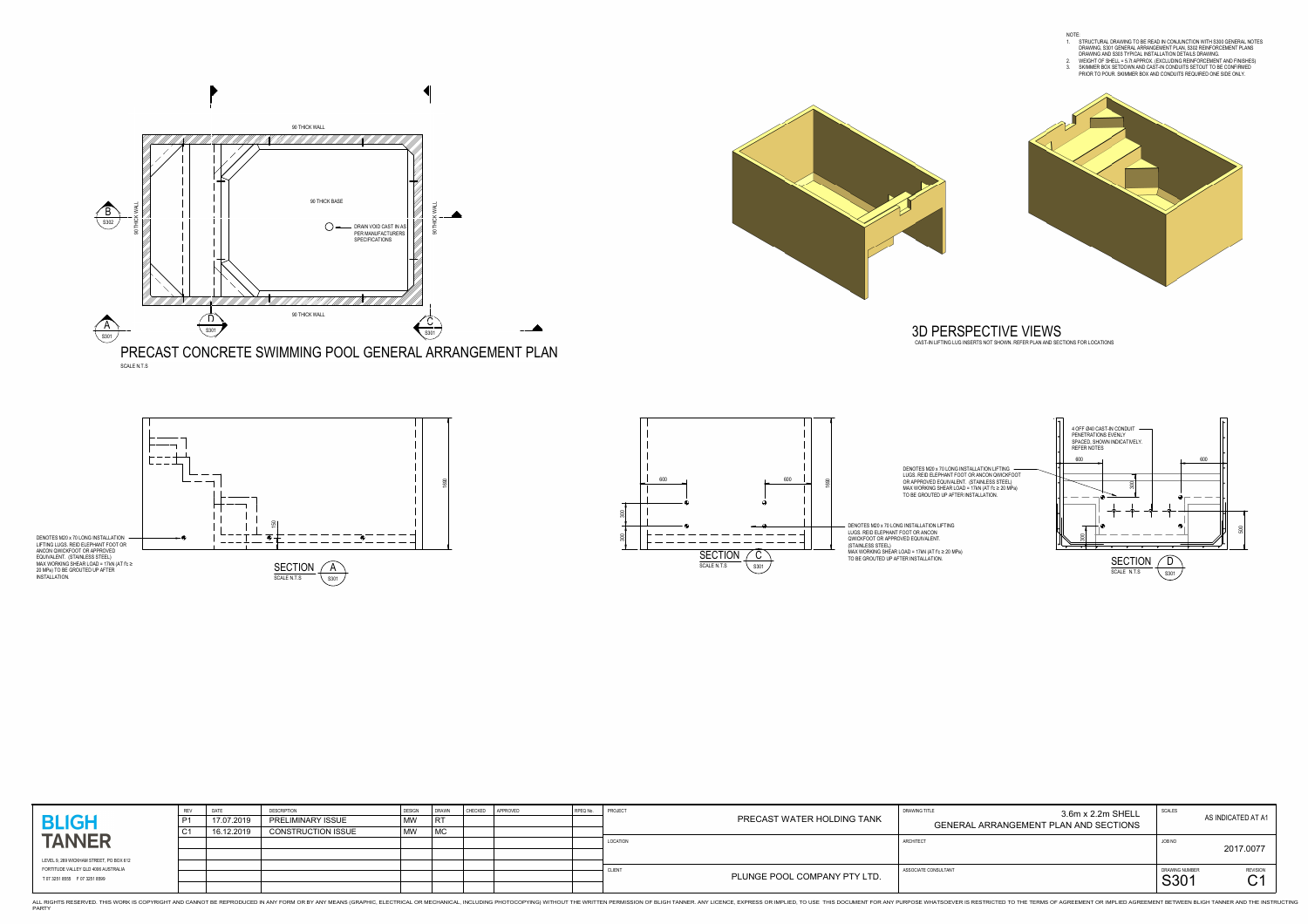





THIS WORK IS COPYRIGHT AND CANNOT BE REPRODUCED IN ANY FORM OR BY ANY MEANS (GRAPHIC, ELECTRICAL OR MECHANICAL OR MECHANICAL OR MECHANICAL, INCLUDING PHOTOCOPYING) WITHOUT THE WRITTEN PERMISSION OF BLIGH TANNER. ANY LICENC PARTY





| <b>BLIGH</b>                                                            | 17.07.2019<br>16.12.2019 | <b>DESCRIPTIO</b><br><b>PRELIMINARY ISSUE</b><br><b>CONSTRUCTION ISSUE</b> | DESIGN<br>MW<br><b>MW</b> | $\overline{\mathsf{R}}$<br>$\mid$ MC | CHECKED | APPROVED | RPEQ No. | <b>PROJECT</b><br><b>DRAWING TITLE</b><br><b>PRECAST WATER HOLDING TANK</b> | SCALES<br>3.6m x 2.2m SHELL<br><b>GENERAL ARRANGEMENT PLAN AND SECTIONS</b> |                        | AS INDICATED AT A                             |
|-------------------------------------------------------------------------|--------------------------|----------------------------------------------------------------------------|---------------------------|--------------------------------------|---------|----------|----------|-----------------------------------------------------------------------------|-----------------------------------------------------------------------------|------------------------|-----------------------------------------------|
| <b>TANNER</b><br>LEVEL 9, 269 WICKHAM STREET, PO BOX 612                |                          |                                                                            |                           |                                      |         |          |          | ARCHITECT<br>LOCATION                                                       | JOB NO                                                                      |                        | 2017.0077                                     |
| FORTITUDE VALLEY QLD 4006 AUSTRALIA<br>T 07 3251 8555    F 07 3251 8599 |                          |                                                                            |                           |                                      |         |          |          | ASSOCIATE CONSULTANT<br>PLUNGE POOL COMPANY PTY LTD.                        |                                                                             | DRAWING NUMBER<br>S301 | <b>REVISION</b><br>⌒ィ<br>$\mathbf{\bm{\cup}}$ |

| ISULTANT                                                   | DRAWING NUMBER<br>S301 | <b>REVISION</b>    |
|------------------------------------------------------------|------------------------|--------------------|
|                                                            | JOB NO                 | 2017.0077          |
| 3.6m x 2.2m SHELL<br>GENERAL ARRANGEMENT PLAN AND SECTIONS | <b>SCALES</b>          | AS INDICATED AT A1 |



CAST-IN LIFTING LUG INSERTS NOT SHOWN. REFER PLAN AND SECTIONS FOR LOCATIONS

# 3D PERSPECTIVE VIEWS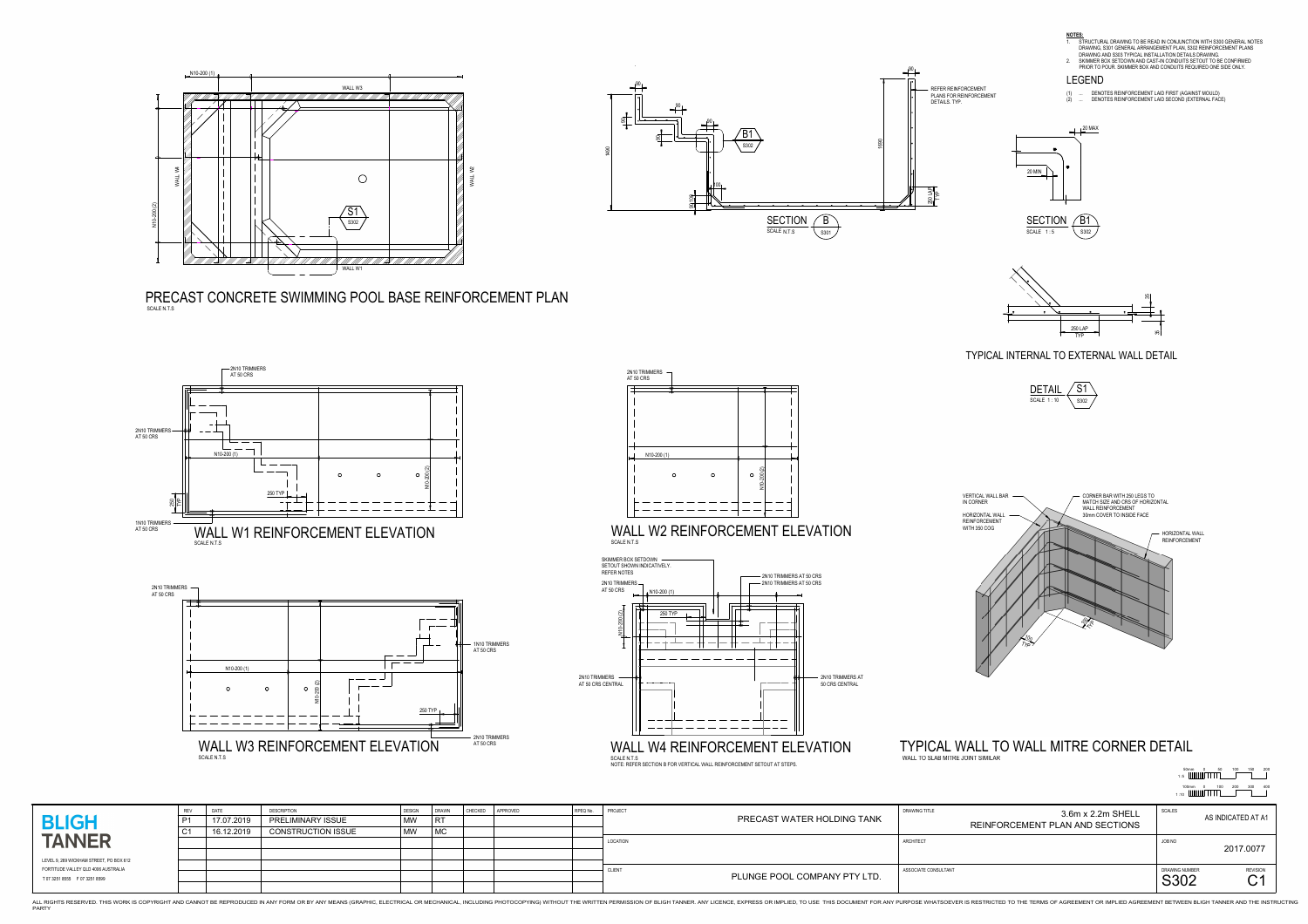

PRECAST CONCRETE SWIMMING POOL BASE REINFORCEMENT PLANSCALE N.T.S



THIS WORK IS COPYRIGHT AND CANNOT BE REPRODUCED IN ANY FORM OR BY ANY MEANS (GRAPHIC, ELECTRICAL OR MECHANICAL OR MECHANICAL OR MECHANICAL, INCLUDING PHOTOCOPYING) WITHOUT THE WRITTEN PERMISSION OF BLIGH TANNER. ANY LICENC PARTY

| JIGN | DRAWN      | CHECKED | APPROVED | RPEQ No. | PROJECT       | <b>DRAWING TITLE</b><br>3.6m x 2.2m SHELL                     | SCALES         |                              |  |
|------|------------|---------|----------|----------|---------------|---------------------------------------------------------------|----------------|------------------------------|--|
|      | RT         |         |          |          |               | PRECAST WATER HOLDING TANK<br>REINFORCEMENT PLAN AND SECTIONS |                | AS INDICATED AT A1           |  |
|      | $\vert$ MC |         |          |          |               |                                                               |                |                              |  |
|      |            |         |          |          | LOCATION      | ARCHITECT                                                     | JOB NO         |                              |  |
|      |            |         |          |          |               |                                                               |                | 2017.0077                    |  |
|      |            |         |          |          |               |                                                               |                |                              |  |
|      |            |         |          |          | <b>CLIENT</b> | ASSOCIATE CONSULTANT<br>PLUNGE POOL COMPANY PTY LTD.          | DRAWING NUMBER | <b>REVISION</b><br>$\bigcap$ |  |
|      |            |         |          |          |               |                                                               | S302           | $\tilde{\phantom{a}}$        |  |



**NOTES:**<br>1. STRUCTURAL DRAWING TO BE READ IN CONJUNCTION WITH S300 GENERAL NOTES. DRAWING, S301 GENERAL ARRANGEMENT PLAN, S302 REINFORCEMENT PLANS DRAWING AND S303 TYPICAL INSTALLATION DETAILS DRAWING. 2. SKIMMER BOX SETDOWN AND CAST-IN CONDUITS SETOUT TO BE CONFIRMED

TYPICAL INTERNAL TO EXTERNAL WALL DETAIL







|                                                                         | <b>REV</b>     | DATE       | <b>DESCRIPTION</b>        | DESIGN    | DRAWN     | <b>CHECKED</b> | APPROVED | RPEQ No |
|-------------------------------------------------------------------------|----------------|------------|---------------------------|-----------|-----------|----------------|----------|---------|
| <b>BLIGH</b>                                                            | P <sub>1</sub> | 17.07.2019 | <b>PRELIMINARY ISSUE</b>  | <b>MW</b> | <b>RT</b> |                |          |         |
|                                                                         | C <sub>1</sub> | 16.12.2019 | <b>CONSTRUCTION ISSUE</b> | <b>MW</b> | <b>MC</b> |                |          |         |
| <b>TANNER</b>                                                           |                |            |                           |           |           |                |          |         |
|                                                                         |                |            |                           |           |           |                |          |         |
| LEVEL 9, 269 WICKHAM STREET, PO BOX 612                                 |                |            |                           |           |           |                |          |         |
| FORTITUDE VALLEY QLD 4006 AUSTRALIA<br>T 07 3251 8555    F 07 3251 8599 |                |            |                           |           |           |                |          |         |
|                                                                         |                |            |                           |           |           |                |          |         |



PRIOR TO POUR. SKIMMER BOX AND CONDUITS REQUIRED ONE SIDE ONLY.

(1) ... DENOTES REINFORCEMENT LAID FIRST (AGAINST MOULD) (2) ... DENOTES REINFORCEMENT LAID SECOND (EXTERNAL FACE)



1 :10

100mm <sup>0</sup> <sup>100</sup> <sup>200</sup> <sup>300</sup> <sup>400</sup> 50mm <sup>0</sup> <sup>50</sup> <sup>100</sup> <sup>150</sup> <sup>200</sup>